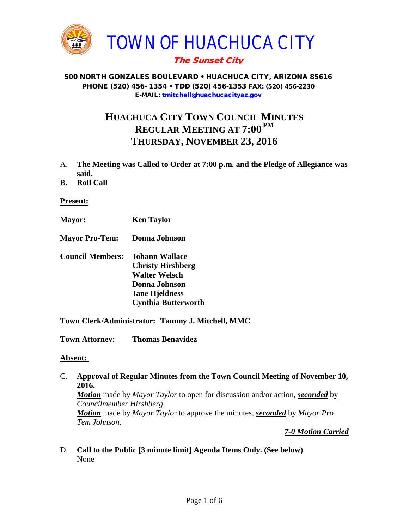

# The Sunset City

#### 500 NORTH GONZALES BOULEVARD • HUACHUCA CITY, ARIZONA 85616 PHONE (520) 456- 1354 • TDD (520) 456-1353 FAX: (520) 456-2230 E-MAIL: [tmitchell@huachucacityaz.gov](mailto:tmitchell@huachucacityaz.gov)

# **HUACHUCA CITY TOWN COUNCIL MINUTES REGULAR MEETING AT 7:00 PM THURSDAY, NOVEMBER 23, 2016**

- A. **The Meeting was Called to Order at 7:00 p.m. and the Pledge of Allegiance was said.**
- B. **Roll Call**

#### **Present:**

- **Mayor: Ken Taylor**
- **Mayor Pro-Tem: Donna Johnson**
- **Council Members: Johann Wallace Christy Hirshberg Walter Welsch Donna Johnson Jane Hjeldness Cynthia Butterworth**

**Town Clerk/Administrator: Tammy J. Mitchell, MMC**

**Town Attorney: Thomas Benavidez**

#### **Absent:**

C. **Approval of Regular Minutes from the Town Council Meeting of November 10, 2016.** *Motion* made by *Mayor Taylor* to open for discussion and/or action, *seconded* by *Councilmember Hirshberg.*

*Motion* made by *Mayor Taylo*r to approve the minutes, *seconded* by *Mayor Pro Tem Johnson.* 

*7-0 Motion Carried*

D. **Call to the Public [3 minute limit] Agenda Items Only. (See below)** None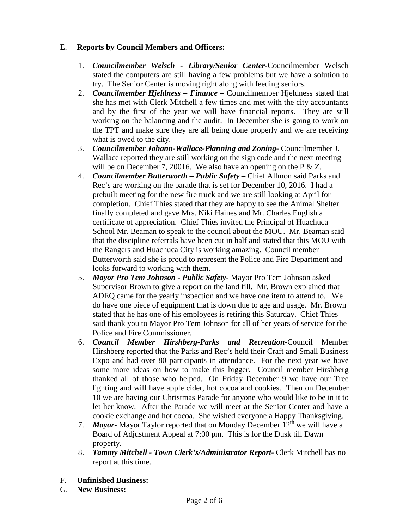## E. **Reports by Council Members and Officers:**

- 1. *Councilmember Welsch - Library/Senior Center***-**Councilmember Welsch stated the computers are still having a few problems but we have a solution to try. The Senior Center is moving right along with feeding seniors.
- 2. *Councilmember Hjeldness – Finance –* Councilmember Hjeldness stated that she has met with Clerk Mitchell a few times and met with the city accountants and by the first of the year we will have financial reports. They are still working on the balancing and the audit. In December she is going to work on the TPT and make sure they are all being done properly and we are receiving what is owed to the city.
- 3. *Councilmember Johann-Wallace-Planning and Zoning***-** Councilmember J. Wallace reported they are still working on the sign code and the next meeting will be on December 7, 20016. We also have an opening on the P & Z.
- 4. *Councilmember Butterworth – Public Safety –* Chief Allmon said Parks and Rec's are working on the parade that is set for December 10, 2016. I had a prebuilt meeting for the new fire truck and we are still looking at April for completion. Chief Thies stated that they are happy to see the Animal Shelter finally completed and gave Mrs. Niki Haines and Mr. Charles English a certificate of appreciation. Chief Thies invited the Principal of Huachuca School Mr. Beaman to speak to the council about the MOU. Mr. Beaman said that the discipline referrals have been cut in half and stated that this MOU with the Rangers and Huachuca City is working amazing. Council member Butterworth said she is proud to represent the Police and Fire Department and looks forward to working with them.
- 5. *Mayor Pro Tem Johnson - Public Safety-* Mayor Pro Tem Johnson asked Supervisor Brown to give a report on the land fill. Mr. Brown explained that ADEQ came for the yearly inspection and we have one item to attend to. We do have one piece of equipment that is down due to age and usage. Mr. Brown stated that he has one of his employees is retiring this Saturday. Chief Thies said thank you to Mayor Pro Tem Johnson for all of her years of service for the Police and Fire Commissioner.
- 6. *Council Member Hirshberg-Parks and Recreation***-**Council Member Hirshberg reported that the Parks and Rec's held their Craft and Small Business Expo and had over 80 participants in attendance. For the next year we have some more ideas on how to make this bigger. Council member Hirshberg thanked all of those who helped. On Friday December 9 we have our Tree lighting and will have apple cider, hot cocoa and cookies. Then on December 10 we are having our Christmas Parade for anyone who would like to be in it to let her know. After the Parade we will meet at the Senior Center and have a cookie exchange and hot cocoa. She wished everyone a Happy Thanksgiving.
- 7. **Mayor-** Mayor Taylor reported that on Monday December  $12<sup>th</sup>$  we will have a Board of Adjustment Appeal at 7:00 pm. This is for the Dusk till Dawn property.
- 8. *Tammy Mitchell - Town Clerk's/Administrator Report-* Clerk Mitchell has no report at this time.
- F. **Unfinished Business:**
- G. **New Business:**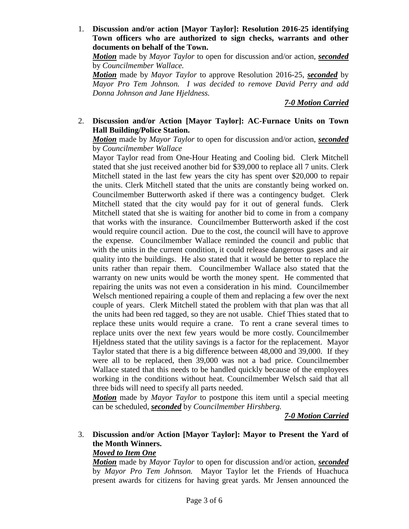1. **Discussion and/or action [Mayor Taylor]: Resolution 2016-25 identifying Town officers who are authorized to sign checks, warrants and other documents on behalf of the Town.**

*Motion* made by *Mayor Taylor* to open for discussion and/or action, *seconded* by *Councilmember Wallace.*

*Motion* made by *Mayor Taylor* to approve Resolution 2016-25, *seconded* by *Mayor Pro Tem Johnson. I was decided to remove David Perry and add Donna Johnson and Jane Hjeldness.*

*7-0 Motion Carried*

### 2. **Discussion and/or Action [Mayor Taylor]: AC-Furnace Units on Town Hall Building/Police Station.**

*Motion* made by *Mayor Taylor* to open for discussion and/or action, *seconded* by *Councilmember Wallace*

Mayor Taylor read from One-Hour Heating and Cooling bid. Clerk Mitchell stated that she just received another bid for \$39,000 to replace all 7 units. Clerk Mitchell stated in the last few years the city has spent over \$20,000 to repair the units. Clerk Mitchell stated that the units are constantly being worked on. Councilmember Butterworth asked if there was a contingency budget. Clerk Mitchell stated that the city would pay for it out of general funds. Clerk Mitchell stated that she is waiting for another bid to come in from a company that works with the insurance. Councilmember Butterworth asked if the cost would require council action. Due to the cost, the council will have to approve the expense. Councilmember Wallace reminded the council and public that with the units in the current condition, it could release dangerous gases and air quality into the buildings. He also stated that it would be better to replace the units rather than repair them. Councilmember Wallace also stated that the warranty on new units would be worth the money spent. He commented that repairing the units was not even a consideration in his mind. Councilmember Welsch mentioned repairing a couple of them and replacing a few over the next couple of years. Clerk Mitchell stated the problem with that plan was that all the units had been red tagged, so they are not usable. Chief Thies stated that to replace these units would require a crane. To rent a crane several times to replace units over the next few years would be more costly. Councilmember Hjeldness stated that the utility savings is a factor for the replacement. Mayor Taylor stated that there is a big difference between 48,000 and 39,000. If they were all to be replaced, then 39,000 was not a bad price. Councilmember Wallace stated that this needs to be handled quickly because of the employees working in the conditions without heat. Councilmember Welsch said that all three bids will need to specify all parts needed.

*Motion* made by *Mayor Taylor* to postpone this item until a special meeting can be scheduled, *seconded* by *Councilmember Hirshberg.*

*7-0 Motion Carried*

## 3. **Discussion and/or Action [Mayor Taylor]: Mayor to Present the Yard of the Month Winners.**

### *Moved to Item One*

*Motion* made by *Mayor Taylor* to open for discussion and/or action, *seconded* by *Mayor Pro Tem Johnson.* Mayor Taylor let the Friends of Huachuca present awards for citizens for having great yards. Mr Jensen announced the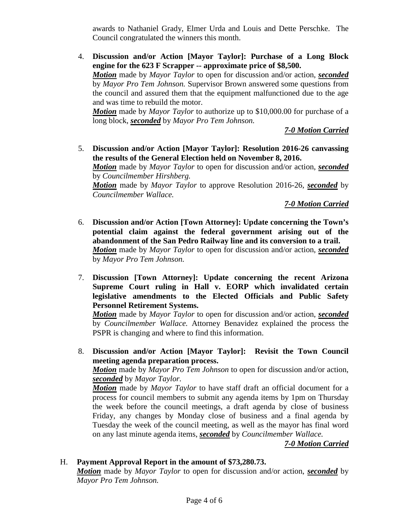awards to Nathaniel Grady, Elmer Urda and Louis and Dette Perschke. The Council congratulated the winners this month.

4. **Discussion and/or Action [Mayor Taylor]: Purchase of a Long Block engine for the 623 F Scrapper -- approximate price of \$8,500.**  *Motion* made by *Mayor Taylor* to open for discussion and/or action, *seconded* by *Mayor Pro Tem Johnson.* Supervisor Brown answered some questions from the council and assured them that the equipment malfunctioned due to the age and was time to rebuild the motor. *Motion* made by *Mayor Taylor* to authorize up to \$10,000.00 for purchase of a

long block, *seconded* by *Mayor Pro Tem Johnson.*

*7-0 Motion Carried*

5. **Discussion and/or Action [Mayor Taylor]: Resolution 2016-26 canvassing the results of the General Election held on November 8, 2016.** *Motion* made by *Mayor Taylor* to open for discussion and/or action, *seconded* by *Councilmember Hirshberg. Motion* made by *Mayor Taylor* to approve Resolution 2016-26, *seconded* by *Councilmember Wallace.*

*7-0 Motion Carried*

- 6. **Discussion and/or Action [Town Attorney]: Update concerning the Town's potential claim against the federal government arising out of the abandonment of the San Pedro Railway line and its conversion to a trail.**  *Motion* made by *Mayor Taylor* to open for discussion and/or action, *seconded* by *Mayor Pro Tem Johnson.*
- 7. **Discussion [Town Attorney]: Update concerning the recent Arizona Supreme Court ruling in Hall v. EORP which invalidated certain legislative amendments to the Elected Officials and Public Safety Personnel Retirement Systems.**

*Motion* made by *Mayor Taylor* to open for discussion and/or action, *seconded* by *Councilmember Wallace.* Attorney Benavidez explained the process the PSPR is changing and where to find this information.

8. **Discussion and/or Action [Mayor Taylor]: Revisit the Town Council meeting agenda preparation process.**

*Motion* made by *Mayor Pro Tem Johnson* to open for discussion and/or action, *seconded* by *Mayor Taylor.*

*Motion* made by *Mayor Taylor* to have staff draft an official document for a process for council members to submit any agenda items by 1pm on Thursday the week before the council meetings, a draft agenda by close of business Friday, any changes by Monday close of business and a final agenda by Tuesday the week of the council meeting, as well as the mayor has final word on any last minute agenda items, *seconded* by *Councilmember Wallace.*

*7-0 Motion Carried*

#### H. **Payment Approval Report in the amount of \$73,280.73.**

*Motion* made by *Mayor Taylor* to open for discussion and/or action, *seconded* by *Mayor Pro Tem Johnson.*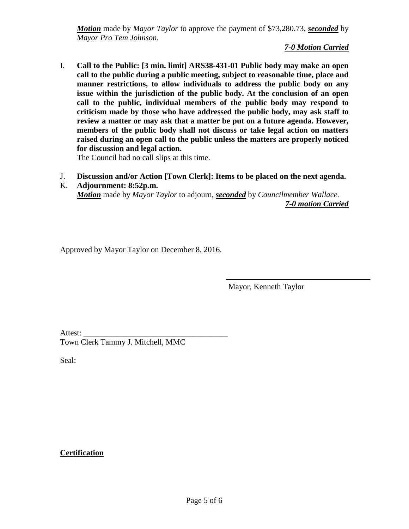*Motion* made by *Mayor Taylor* to approve the payment of \$73,280.73, *seconded* by *Mayor Pro Tem Johnson.*

*7-0 Motion Carried*

I. **Call to the Public: [3 min. limit] ARS38-431-01 Public body may make an open call to the public during a public meeting, subject to reasonable time, place and manner restrictions, to allow individuals to address the public body on any issue within the jurisdiction of the public body. At the conclusion of an open call to the public, individual members of the public body may respond to criticism made by those who have addressed the public body, may ask staff to review a matter or may ask that a matter be put on a future agenda. However, members of the public body shall not discuss or take legal action on matters raised during an open call to the public unless the matters are properly noticed for discussion and legal action.**

The Council had no call slips at this time.

- J. **Discussion and/or Action [Town Clerk]: Items to be placed on the next agenda.**
- K. **Adjournment: 8:52p.m.** *Motion* made by *Mayor Taylor* to adjourn, *seconded* by *Councilmember Wallace. 7-0 motion Carried*

Approved by Mayor Taylor on December 8, 2016.

Mayor, Kenneth Taylor

Attest: \_ Town Clerk Tammy J. Mitchell, MMC

Seal:

## **Certification**